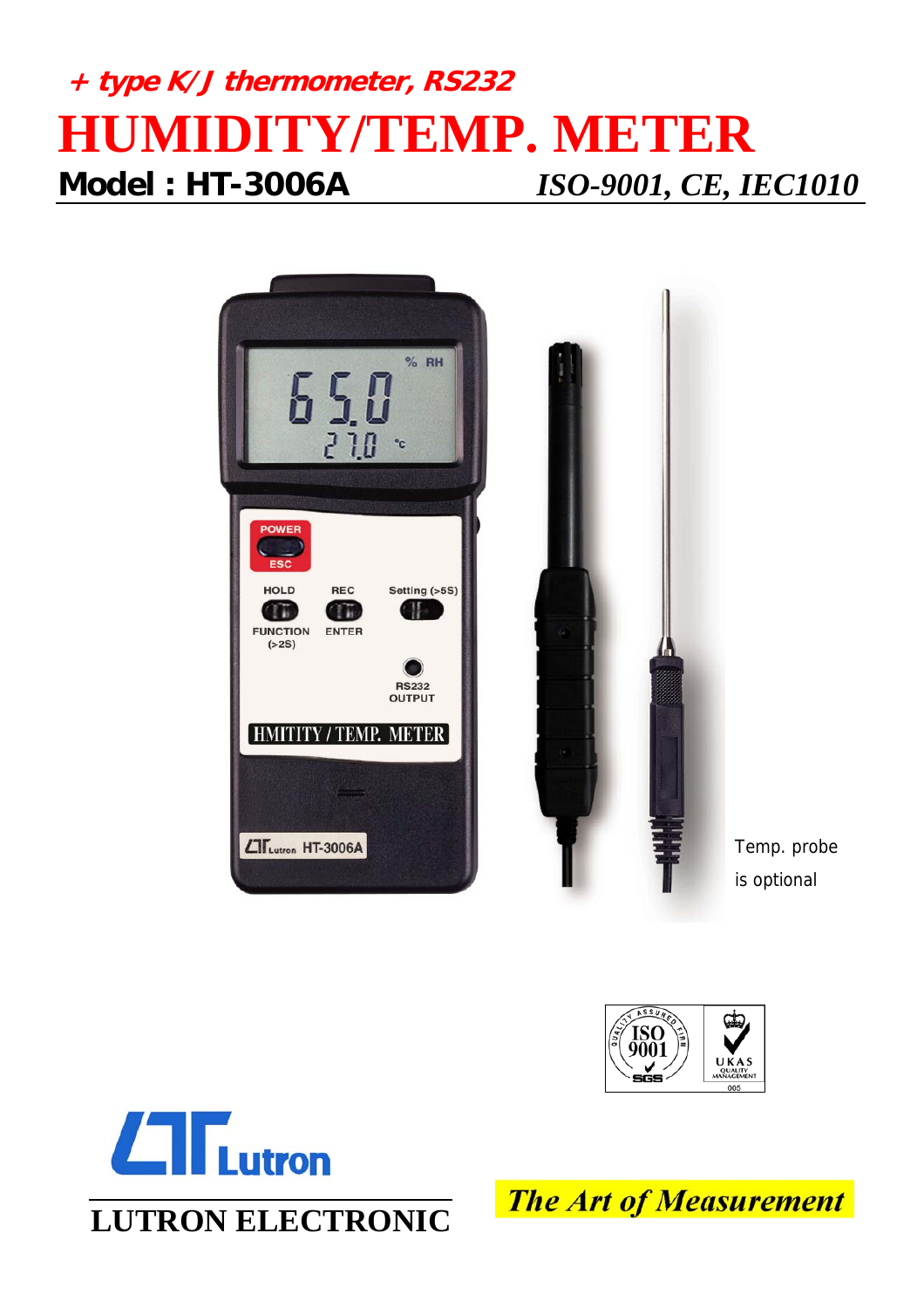## **+ type K/J thermometer, RS232 HUMIDITY/TEMP. METER Model : HT-3006A** *ISO-9001, CE, IEC1010*







**The Art of Measurement**